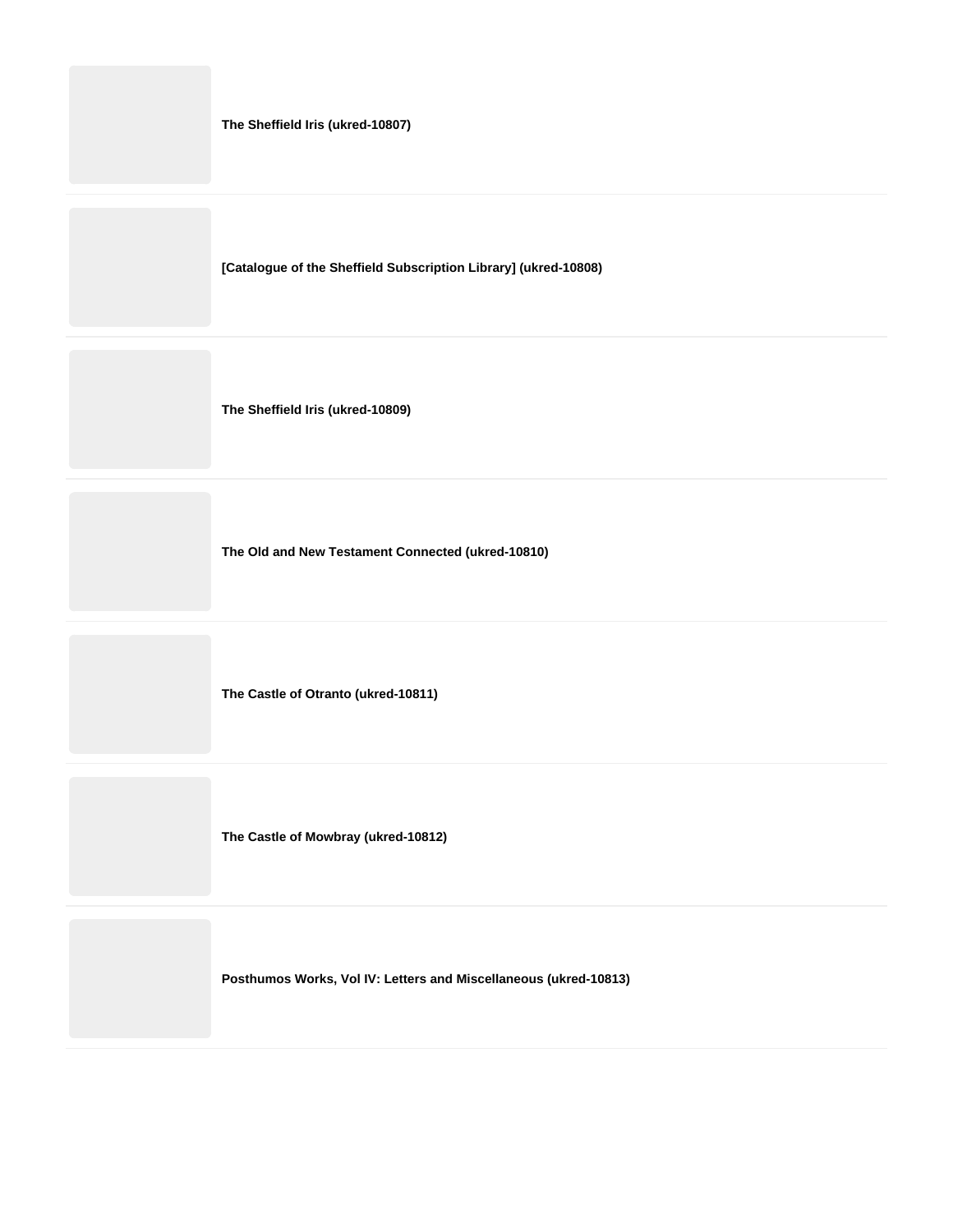| The Sheffield Iris (ukred-10807)                                 |
|------------------------------------------------------------------|
| [Catalogue of the Sheffield Subscription Library] (ukred-10808)  |
| The Sheffield Iris (ukred-10809)                                 |
| The Old and New Testament Connected (ukred-10810)                |
| The Castle of Otranto (ukred-10811)                              |
| The Castle of Mowbray (ukred-10812)                              |
| Posthumos Works, Vol IV: Letters and Miscellaneous (ukred-10813) |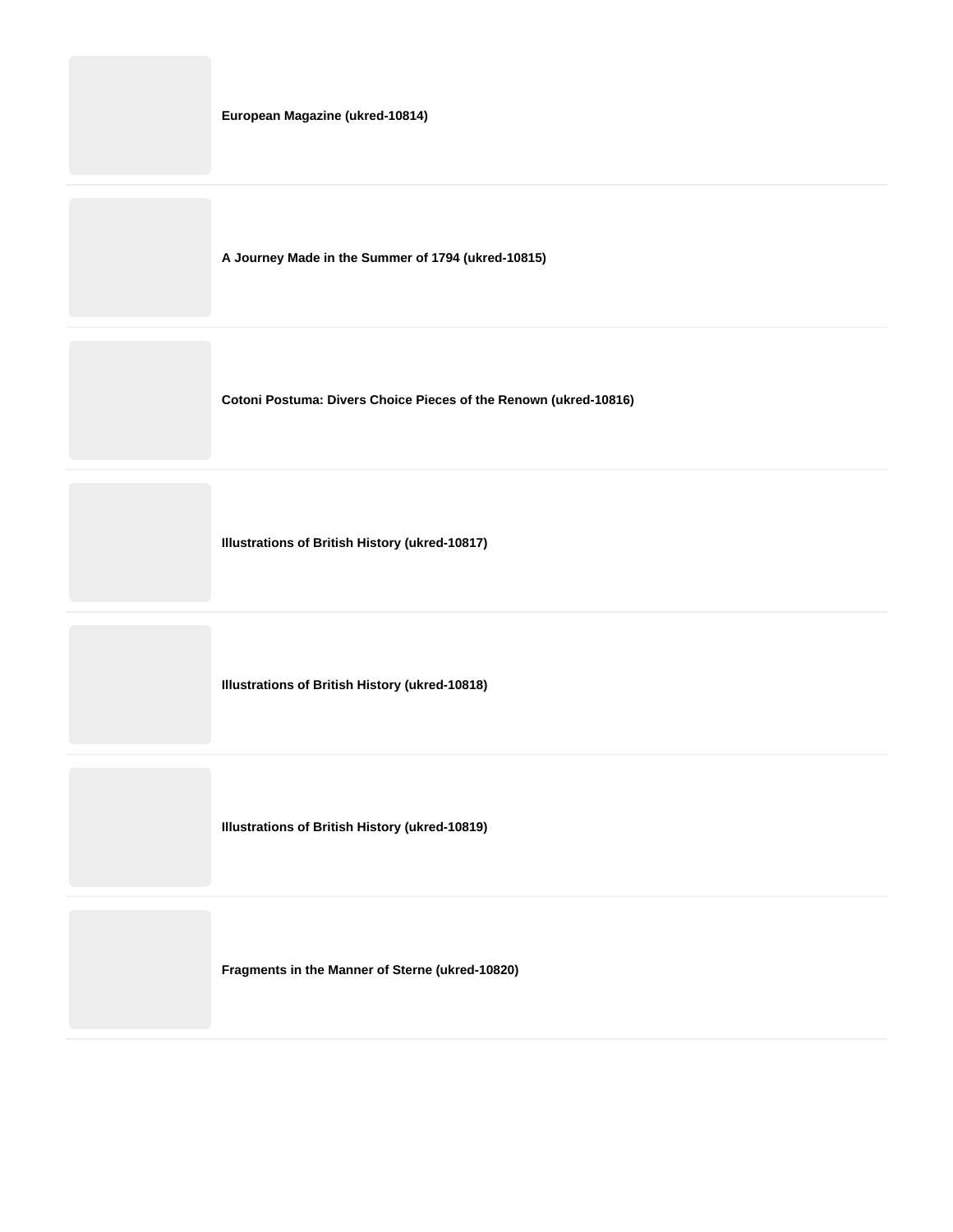|  |  | European Magazine (ukred-10814) |
|--|--|---------------------------------|
|--|--|---------------------------------|

**A Journey Made in the Summer of 1794 (ukred-10815)**

**Cotoni Postuma: Divers Choice Pieces of the Renown (ukred-10816)**

**Illustrations of British History (ukred-10817)**

**Illustrations of British History (ukred-10818)**

**Illustrations of British History (ukred-10819)**

**Fragments in the Manner of Sterne (ukred-10820)**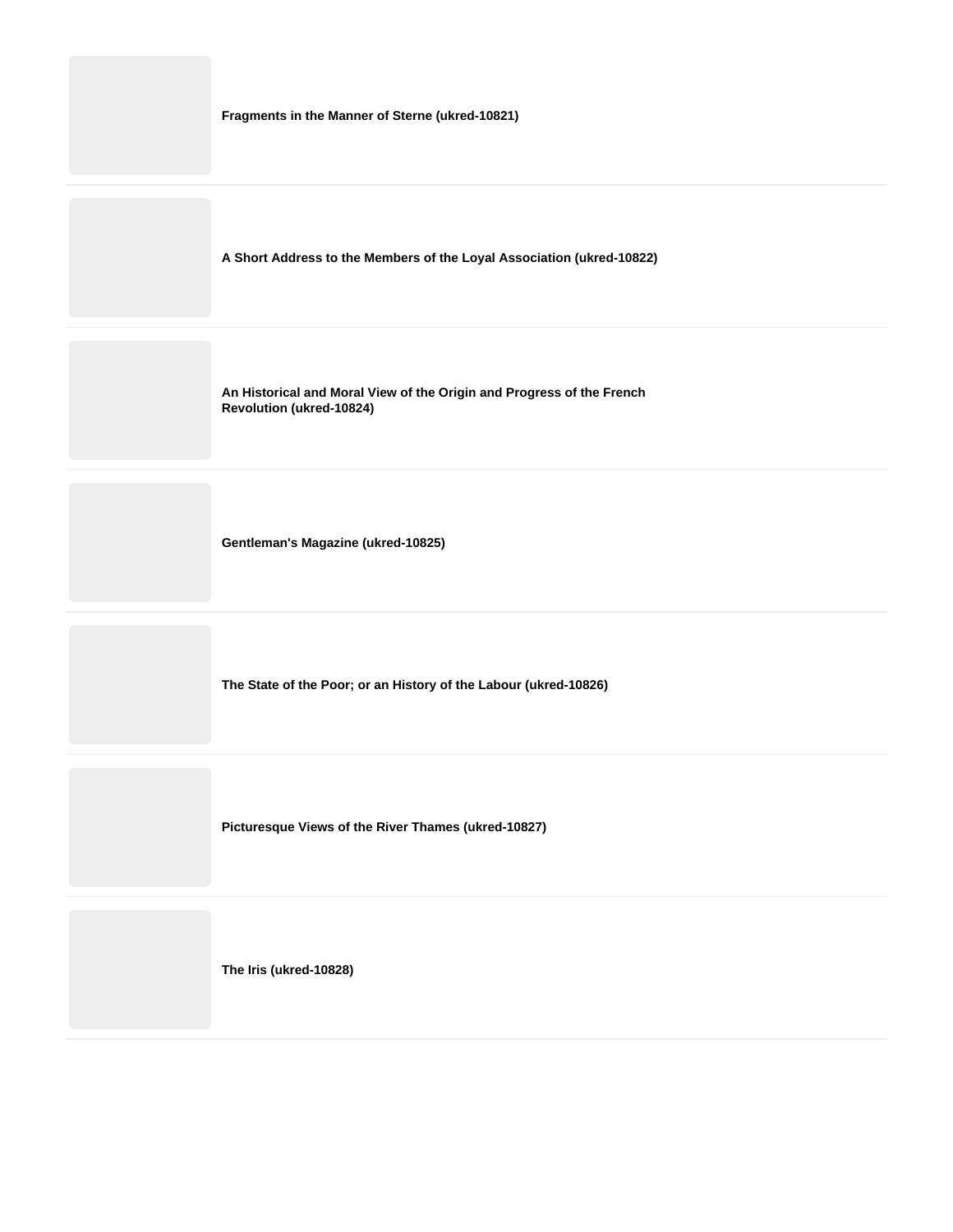**Fragments in the Manner of Sterne (ukred-10821)**

**A Short Address to the Members of the Loyal Association (ukred-10822)**

**An Historical and Moral View of the Origin and Progress of the French Revolution (ukred-10824)**

**Gentleman's Magazine (ukred-10825)**

**The State of the Poor; or an History of the Labour (ukred-10826)**

**Picturesque Views of the River Thames (ukred-10827)**

**The Iris (ukred-10828)**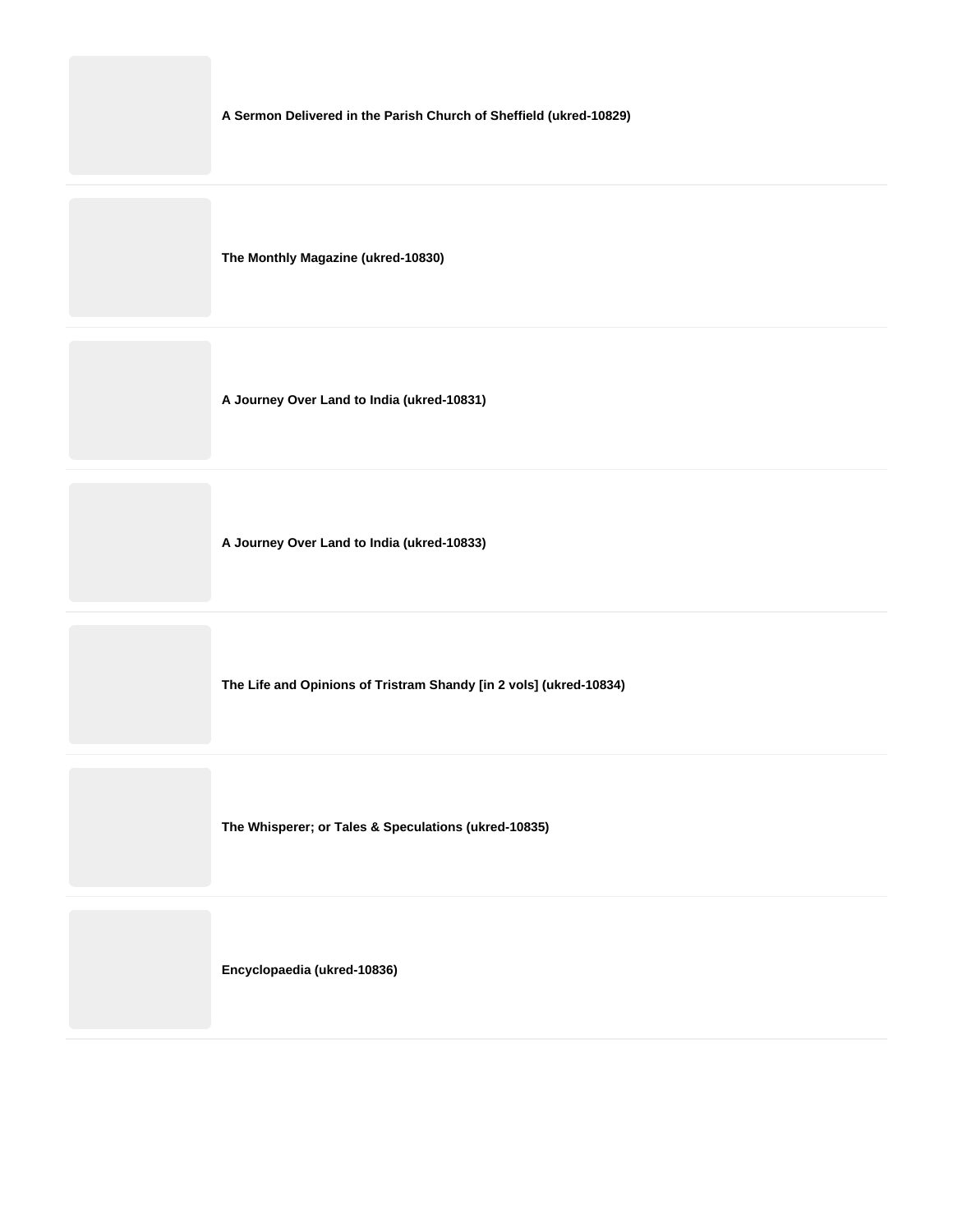**A Sermon Delivered in the Parish Church of Sheffield (ukred-10829)**

**The Monthly Magazine (ukred-10830)**

**A Journey Over Land to India (ukred-10831)**

**A Journey Over Land to India (ukred-10833)**

**The Life and Opinions of Tristram Shandy [in 2 vols] (ukred-10834)**

**The Whisperer; or Tales & Speculations (ukred-10835)**

**Encyclopaedia (ukred-10836)**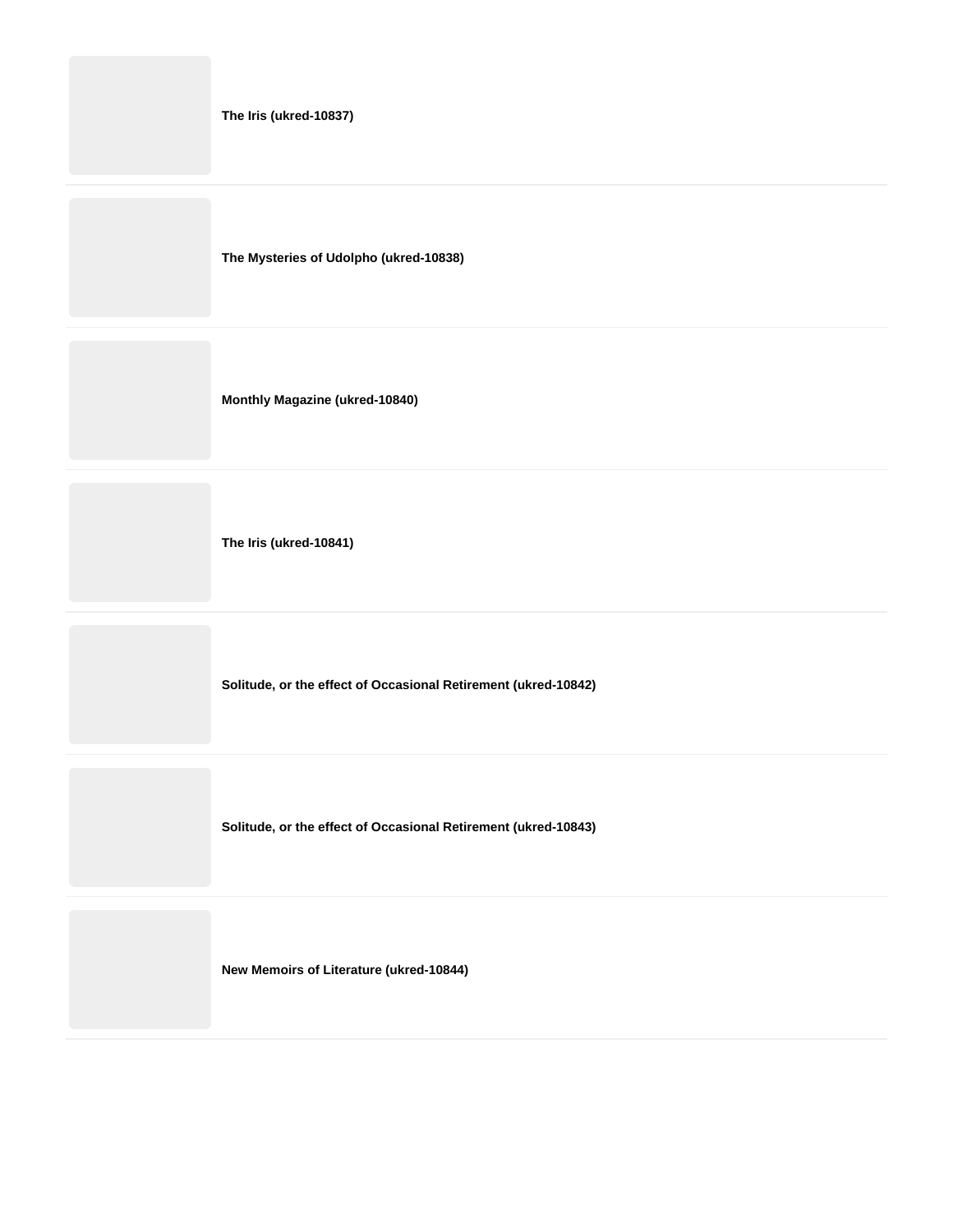**The Iris (ukred-10837)**

**The Mysteries of Udolpho (ukred-10838)**

**Monthly Magazine (ukred-10840)**

**The Iris (ukred-10841)**

**Solitude, or the effect of Occasional Retirement (ukred-10842)**

**Solitude, or the effect of Occasional Retirement (ukred-10843)**

**New Memoirs of Literature (ukred-10844)**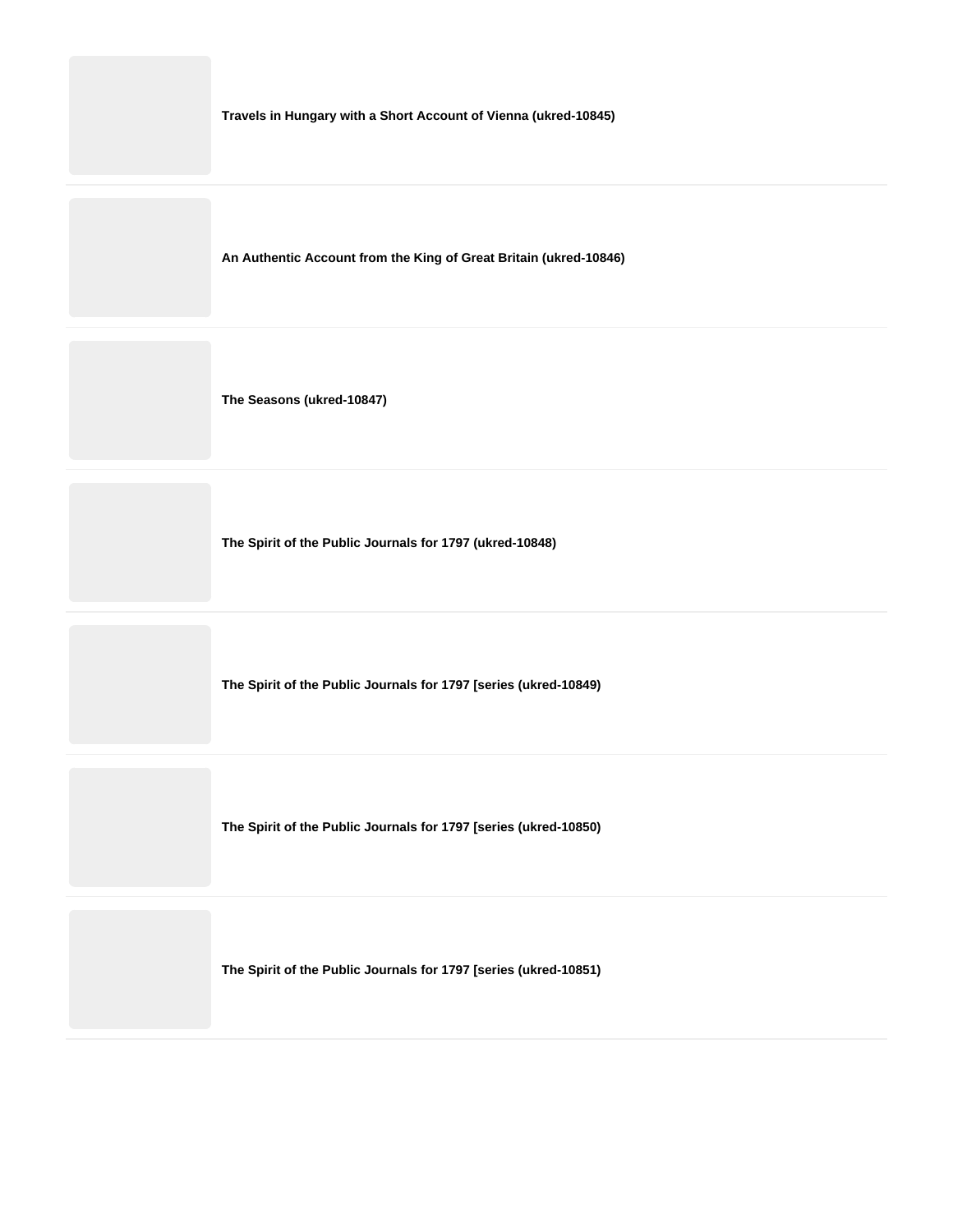**Travels in Hungary with a Short Account of Vienna (ukred-10845)**

**An Authentic Account from the King of Great Britain (ukred-10846)**

**The Seasons (ukred-10847)**

**The Spirit of the Public Journals for 1797 (ukred-10848)**

**The Spirit of the Public Journals for 1797 [series (ukred-10849)**

**The Spirit of the Public Journals for 1797 [series (ukred-10850)**

**The Spirit of the Public Journals for 1797 [series (ukred-10851)**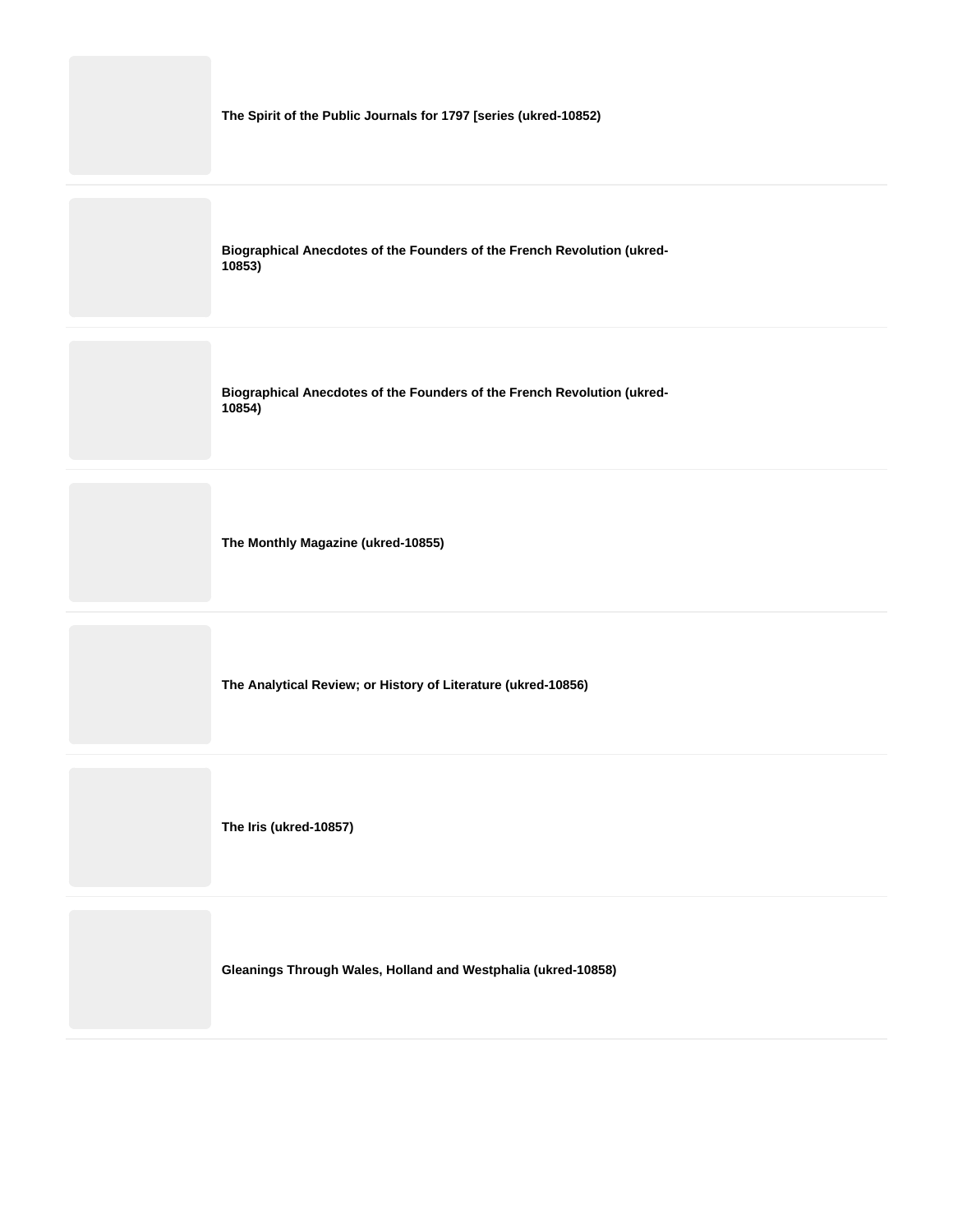

**Gleanings Through Wales, Holland and Westphalia (ukred-10858)**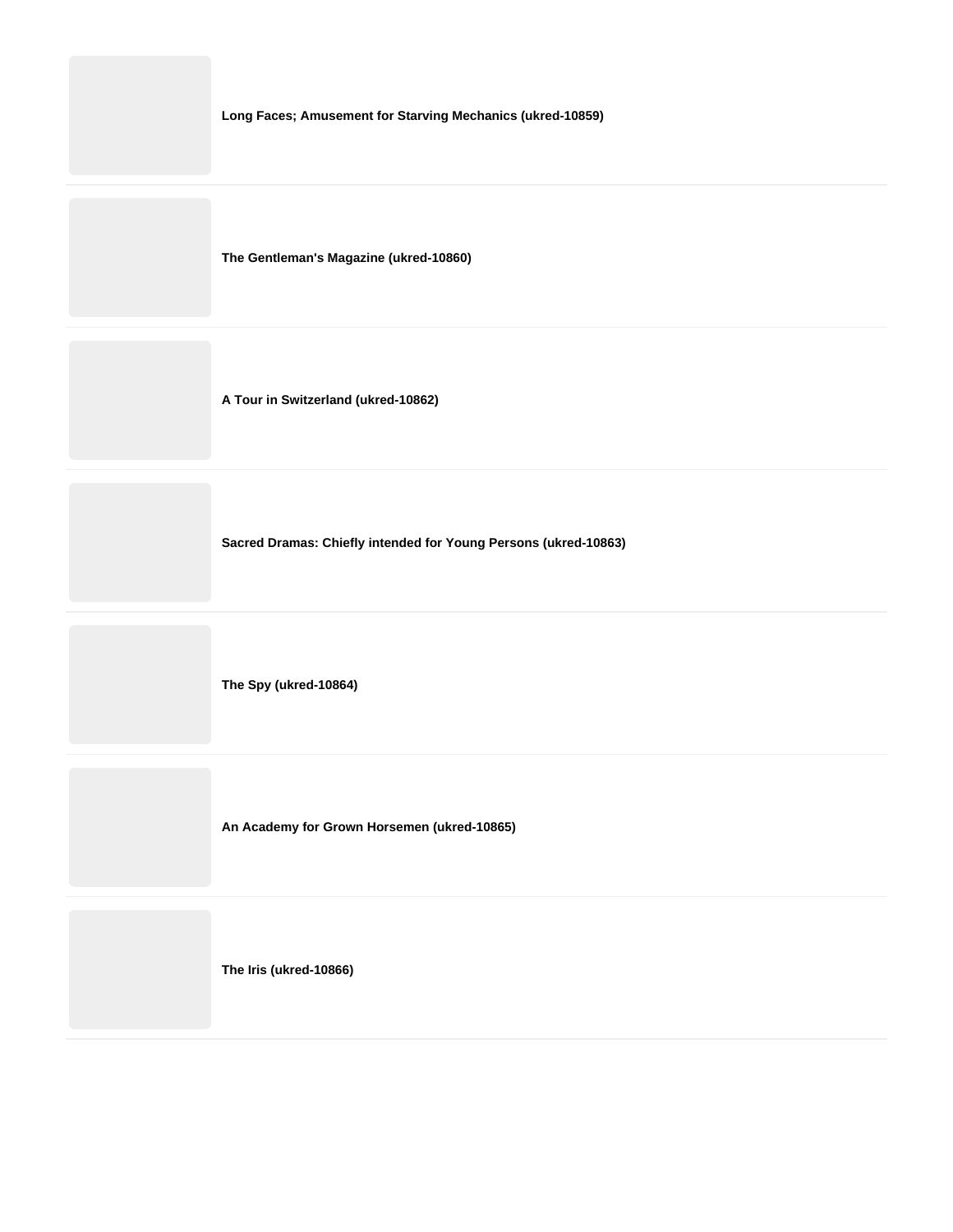**Long Faces; Amusement for Starving Mechanics (ukred-10859)**

**The Gentleman's Magazine (ukred-10860)**

**A Tour in Switzerland (ukred-10862)**

**Sacred Dramas: Chiefly intended for Young Persons (ukred-10863)**

**The Spy (ukred-10864)**

**An Academy for Grown Horsemen (ukred-10865)**

**The Iris (ukred-10866)**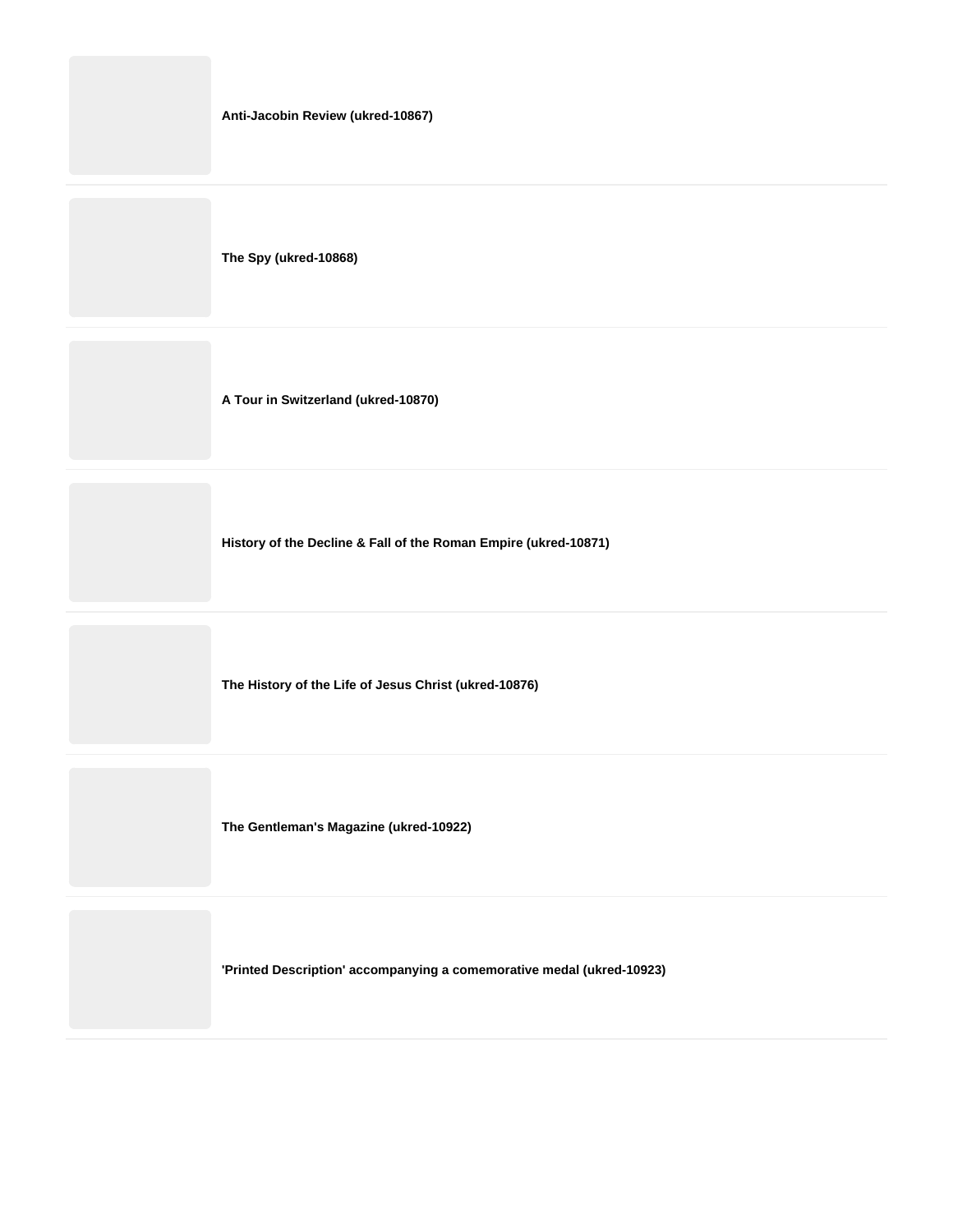**The Spy (ukred-10868)**

**A Tour in Switzerland (ukred-10870)**

**History of the Decline & Fall of the Roman Empire (ukred-10871)**

**The History of the Life of Jesus Christ (ukred-10876)**

**The Gentleman's Magazine (ukred-10922)**

**'Printed Description' accompanying a comemorative medal (ukred-10923)**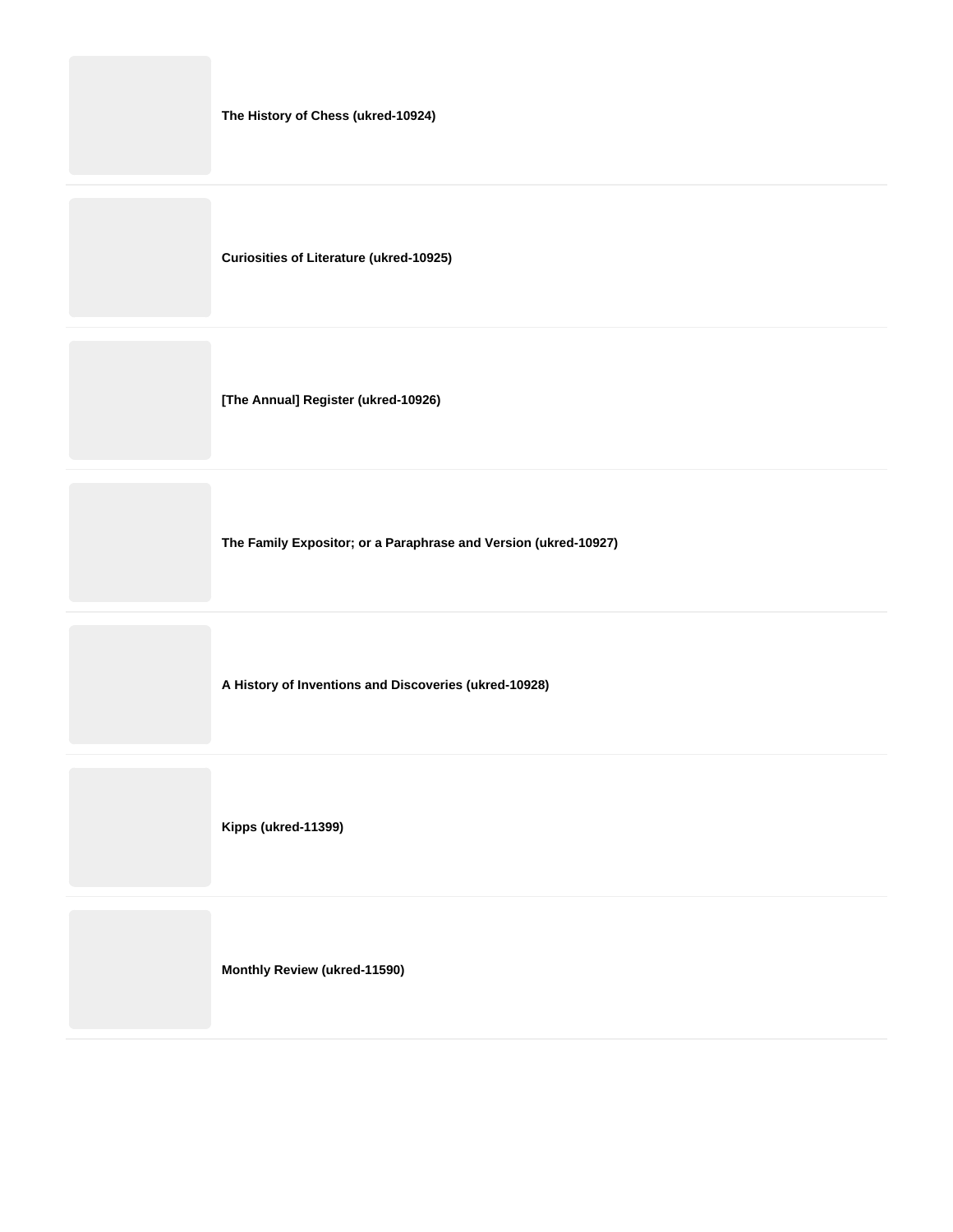| The History of Chess (ukred-10924) |  |
|------------------------------------|--|
|------------------------------------|--|

**Curiosities of Literature (ukred-10925)**

**[The Annual] Register (ukred-10926)**

**The Family Expositor; or a Paraphrase and Version (ukred-10927)**

**A History of Inventions and Discoveries (ukred-10928)**

**Kipps (ukred-11399)**

**Monthly Review (ukred-11590)**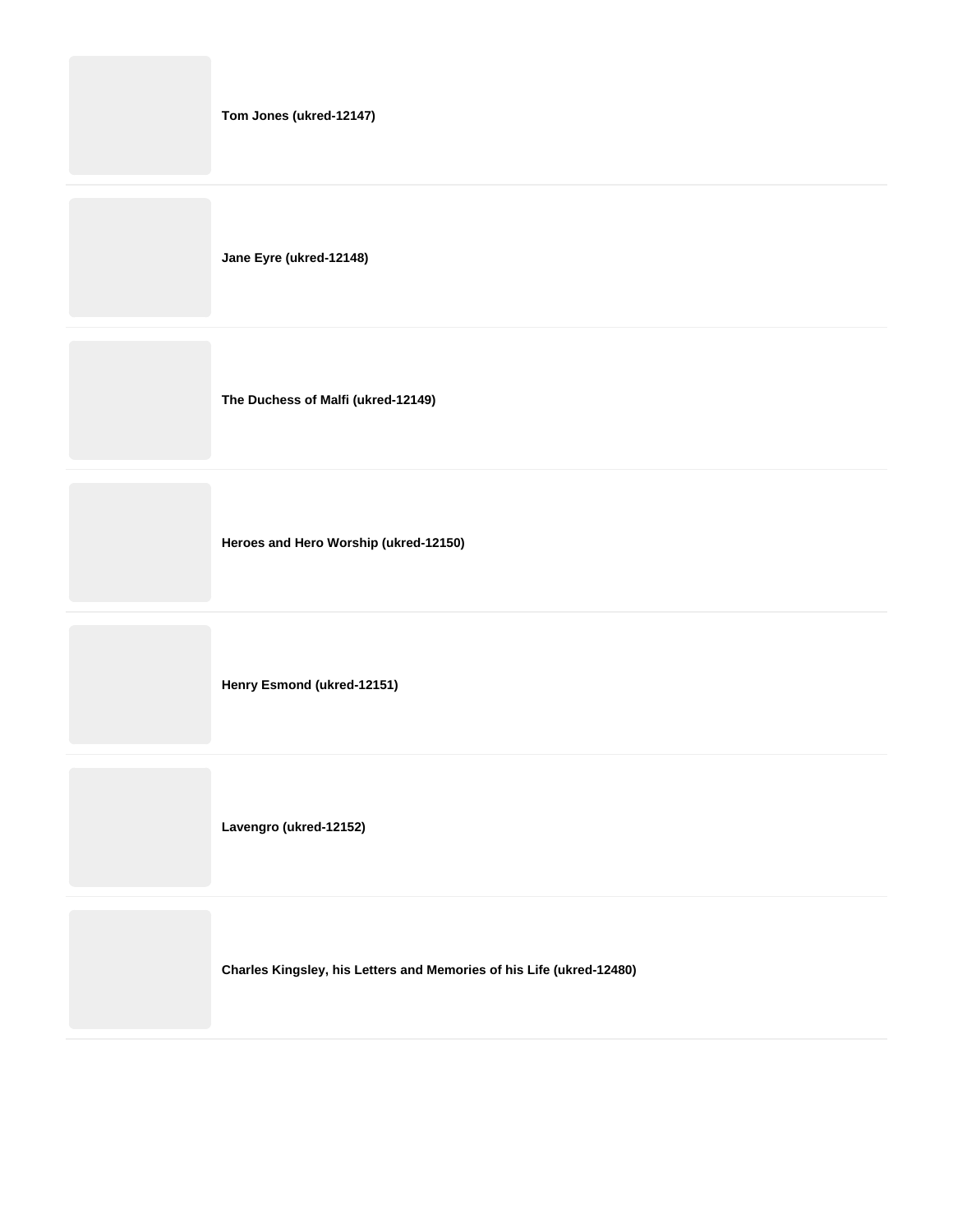|  | Tom Jones (ukred-12147) |
|--|-------------------------|
|--|-------------------------|

**Jane Eyre (ukred-12148)**

**The Duchess of Malfi (ukred-12149)**

**Heroes and Hero Worship (ukred-12150)**

**Henry Esmond (ukred-12151)**

**Lavengro (ukred-12152)**

**Charles Kingsley, his Letters and Memories of his Life (ukred-12480)**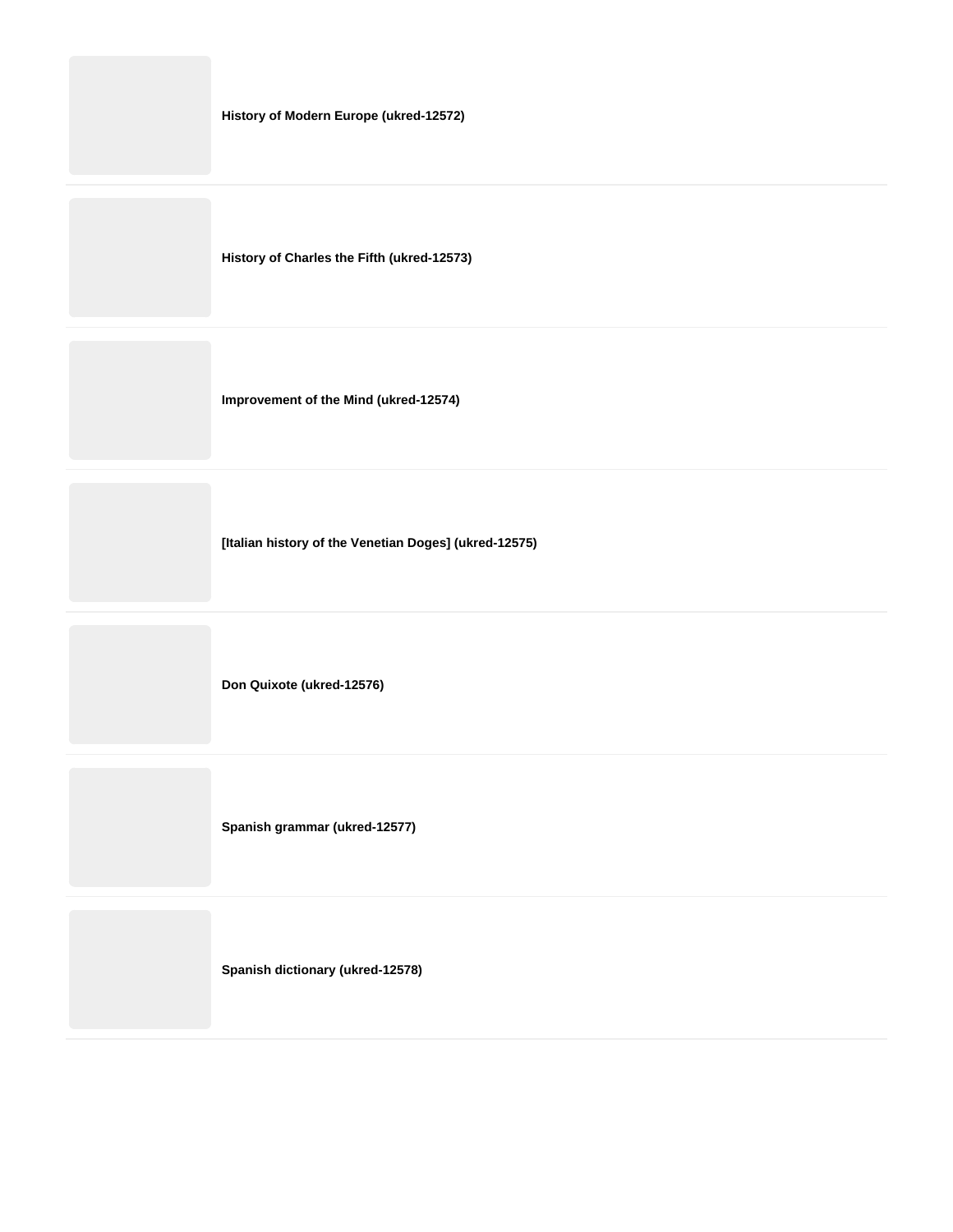| History of Modern Europe (ukred-12572) |  |  |
|----------------------------------------|--|--|
|----------------------------------------|--|--|

**History of Charles the Fifth (ukred-12573)**

**Improvement of the Mind (ukred-12574)**

**[Italian history of the Venetian Doges] (ukred-12575)**

**Don Quixote (ukred-12576)**

**Spanish grammar (ukred-12577)**

**Spanish dictionary (ukred-12578)**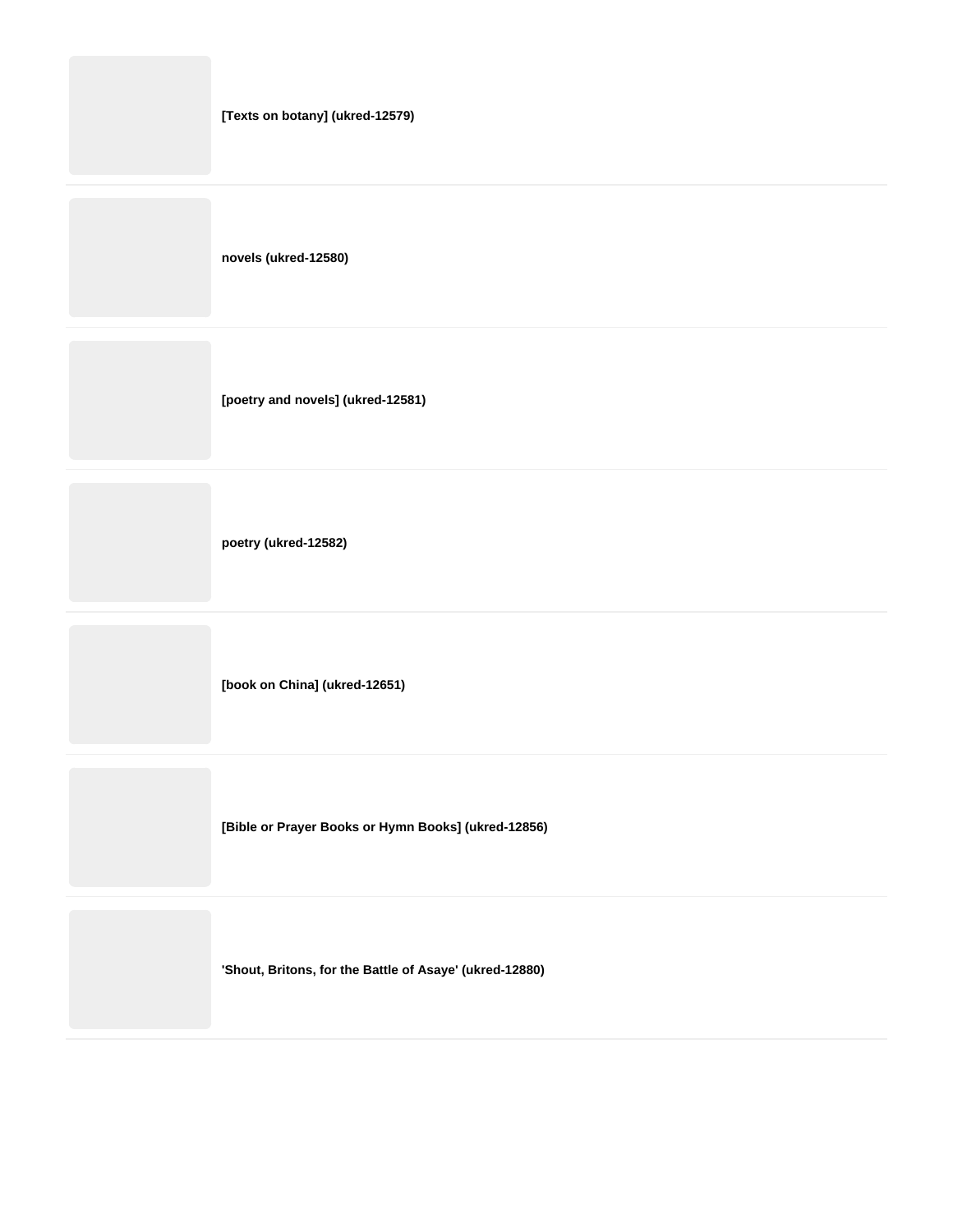|  | [Texts on botany] (ukred-12579)   |
|--|-----------------------------------|
|  | novels (ukred-12580)              |
|  | [poetry and novels] (ukred-12581) |
|  | poetry (ukred-12582)              |

**[book on China] (ukred-12651)**

**[Bible or Prayer Books or Hymn Books] (ukred-12856)**

**'Shout, Britons, for the Battle of Asaye' (ukred-12880)**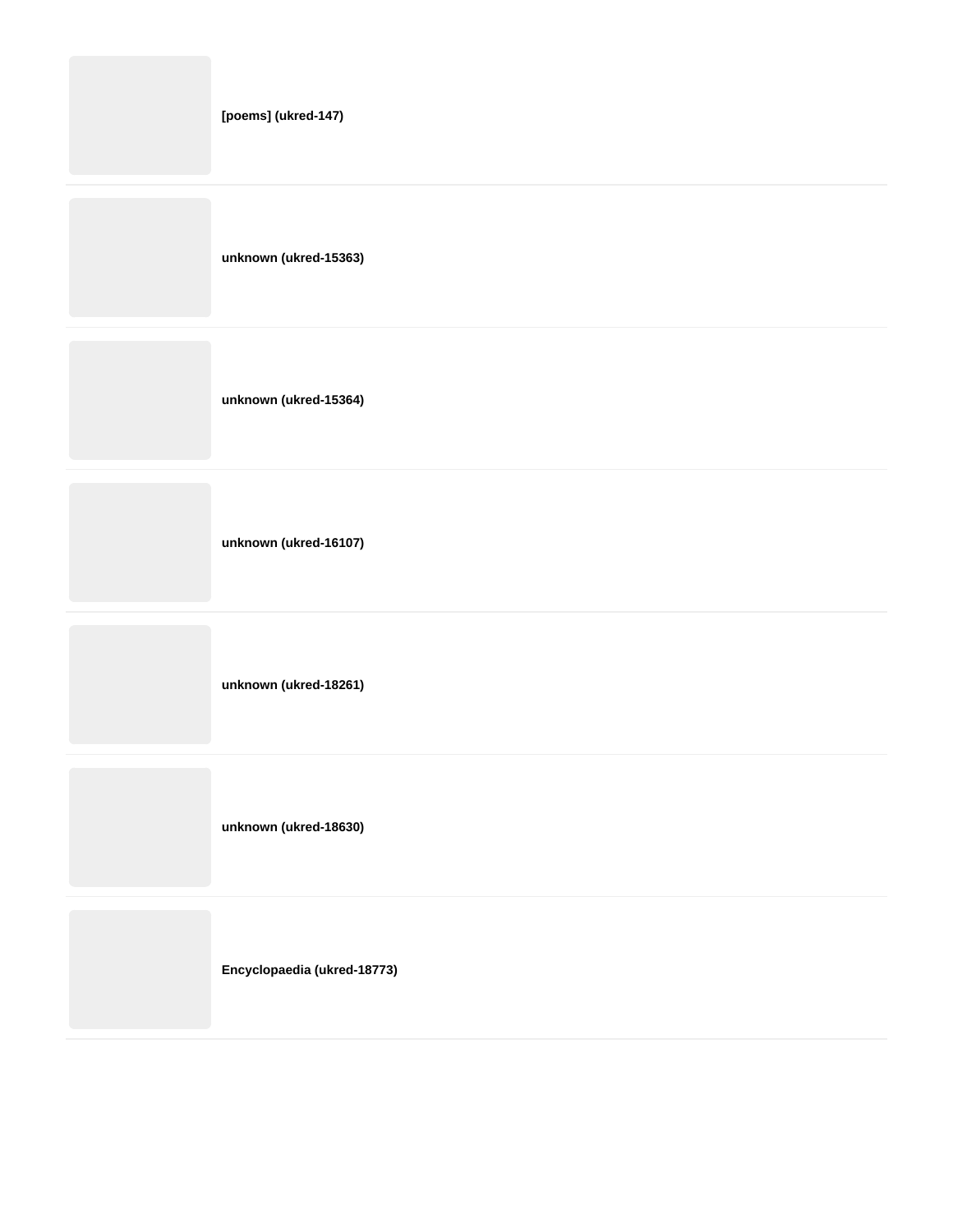| [poems] (ukred-147)   |
|-----------------------|
| unknown (ukred-15363) |
| unknown (ukred-15364) |
| unknown (ukred-16107) |

**unknown (ukred-18261)**

**unknown (ukred-18630)**

**Encyclopaedia (ukred-18773)**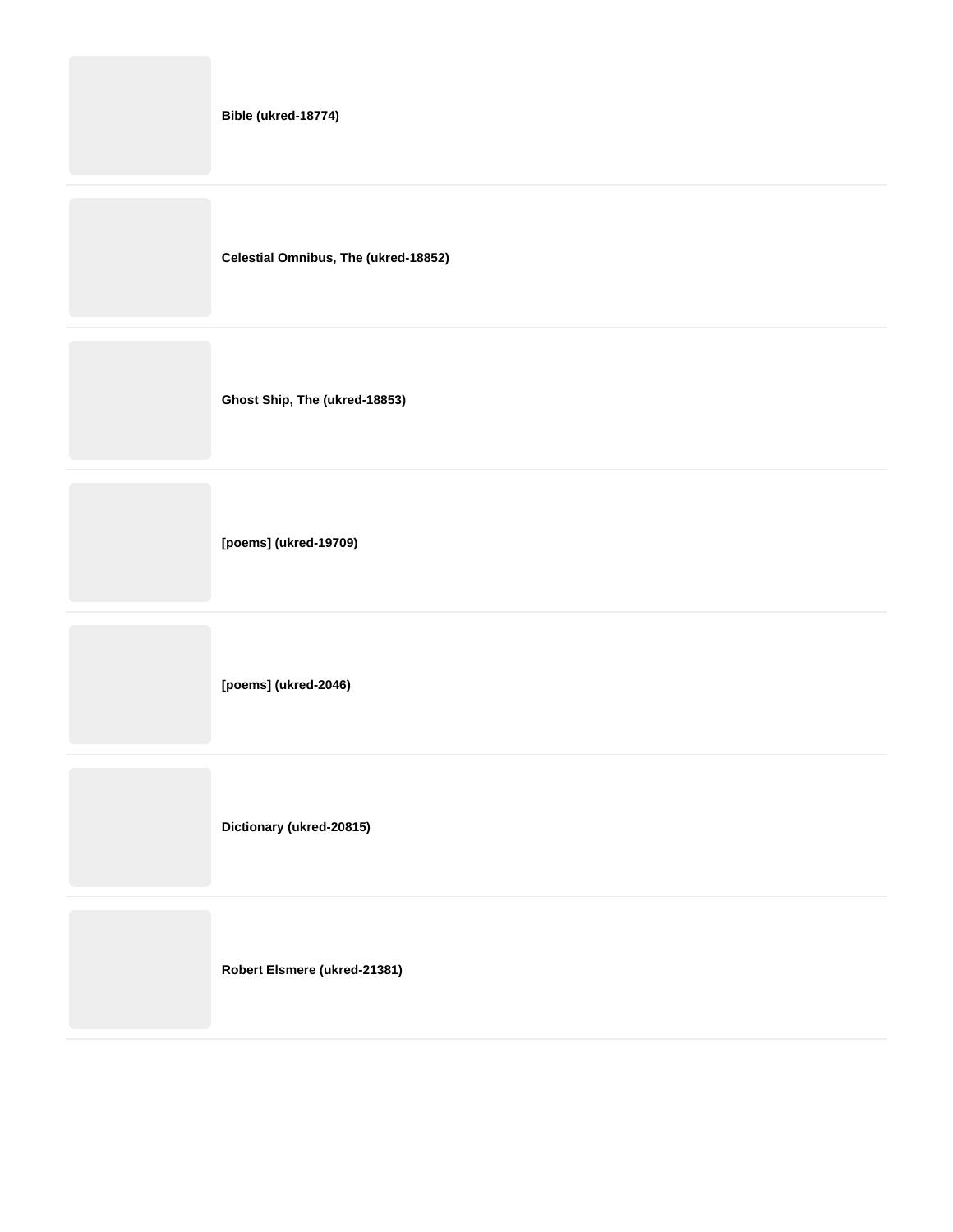| Bible (ukred-18774)                  |
|--------------------------------------|
| Celestial Omnibus, The (ukred-18852) |
| Ghost Ship, The (ukred-18853)        |
| [poems] (ukred-19709)                |

**[poems] (ukred-2046)**

**Dictionary (ukred-20815)**

**Robert Elsmere (ukred-21381)**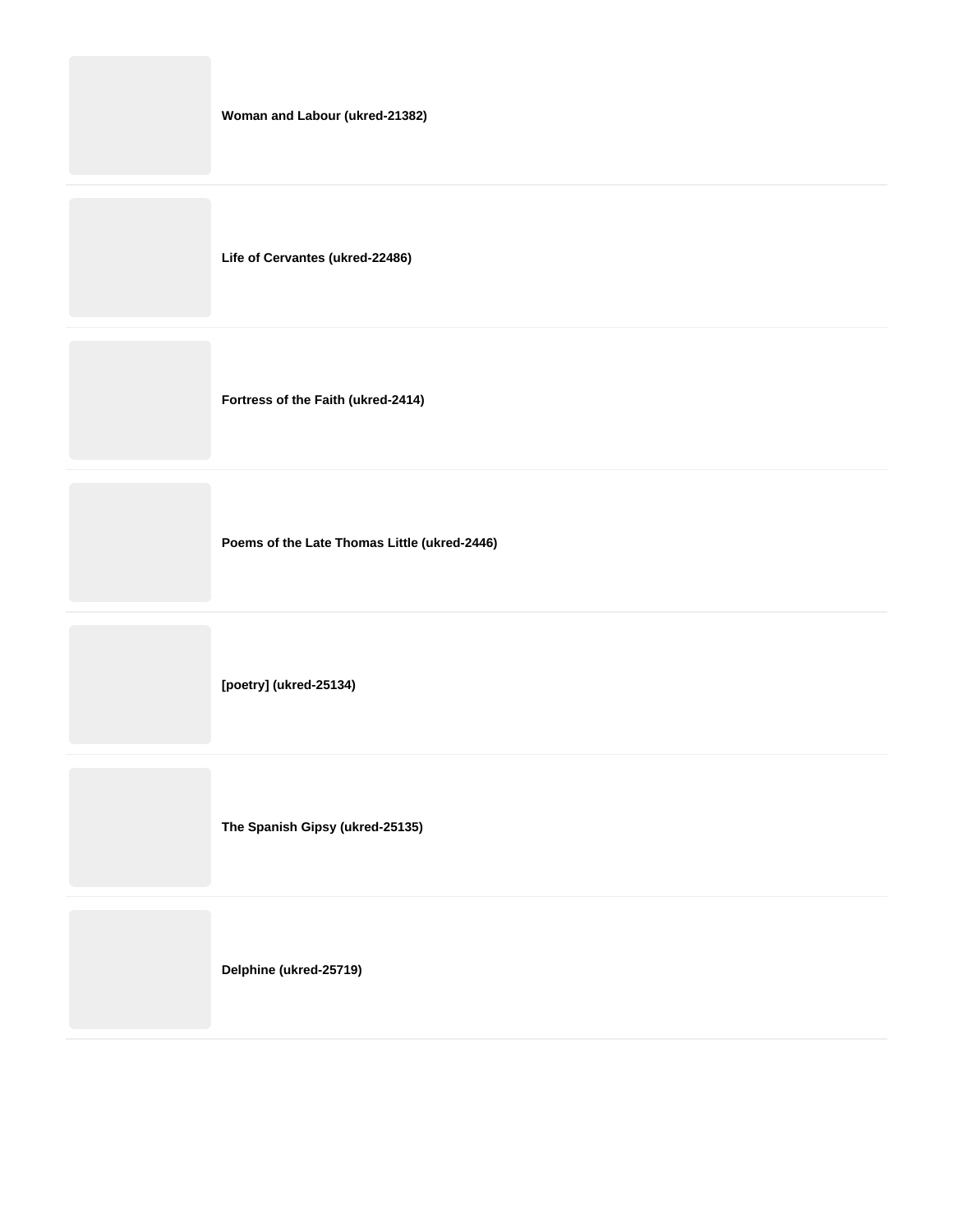|  |  | Woman and Labour (ukred-21382) |
|--|--|--------------------------------|
|--|--|--------------------------------|

**Life of Cervantes (ukred-22486)**

**Fortress of the Faith (ukred-2414)**

**Poems of the Late Thomas Little (ukred-2446)**

**[poetry] (ukred-25134)**

**The Spanish Gipsy (ukred-25135)**

**Delphine (ukred-25719)**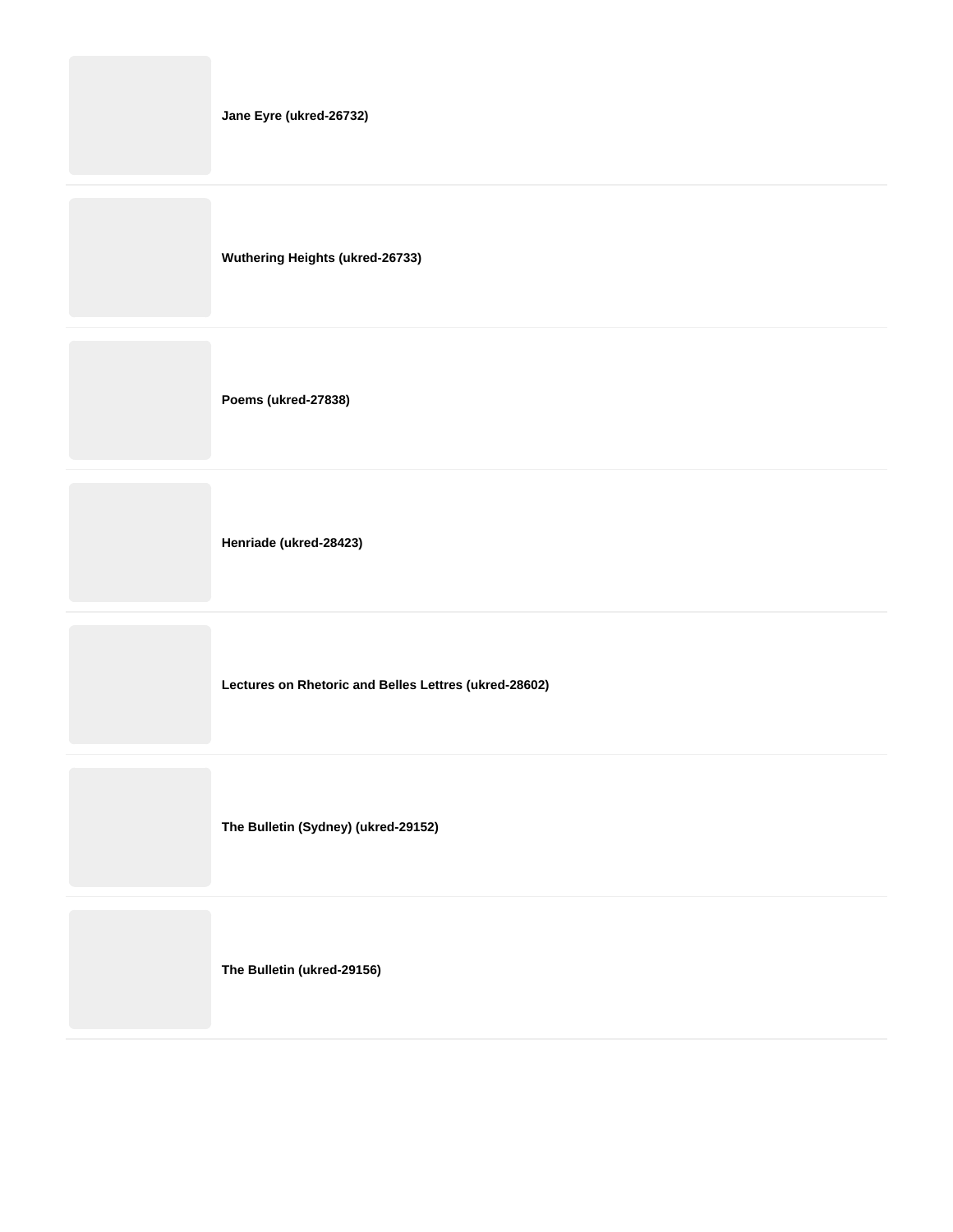|  | Jane Eyre (ukred-26732) |
|--|-------------------------|
|--|-------------------------|

**Wuthering Heights (ukred-26733)**

**Poems (ukred-27838)**

**Henriade (ukred-28423)**

**Lectures on Rhetoric and Belles Lettres (ukred-28602)**

**The Bulletin (Sydney) (ukred-29152)**

**The Bulletin (ukred-29156)**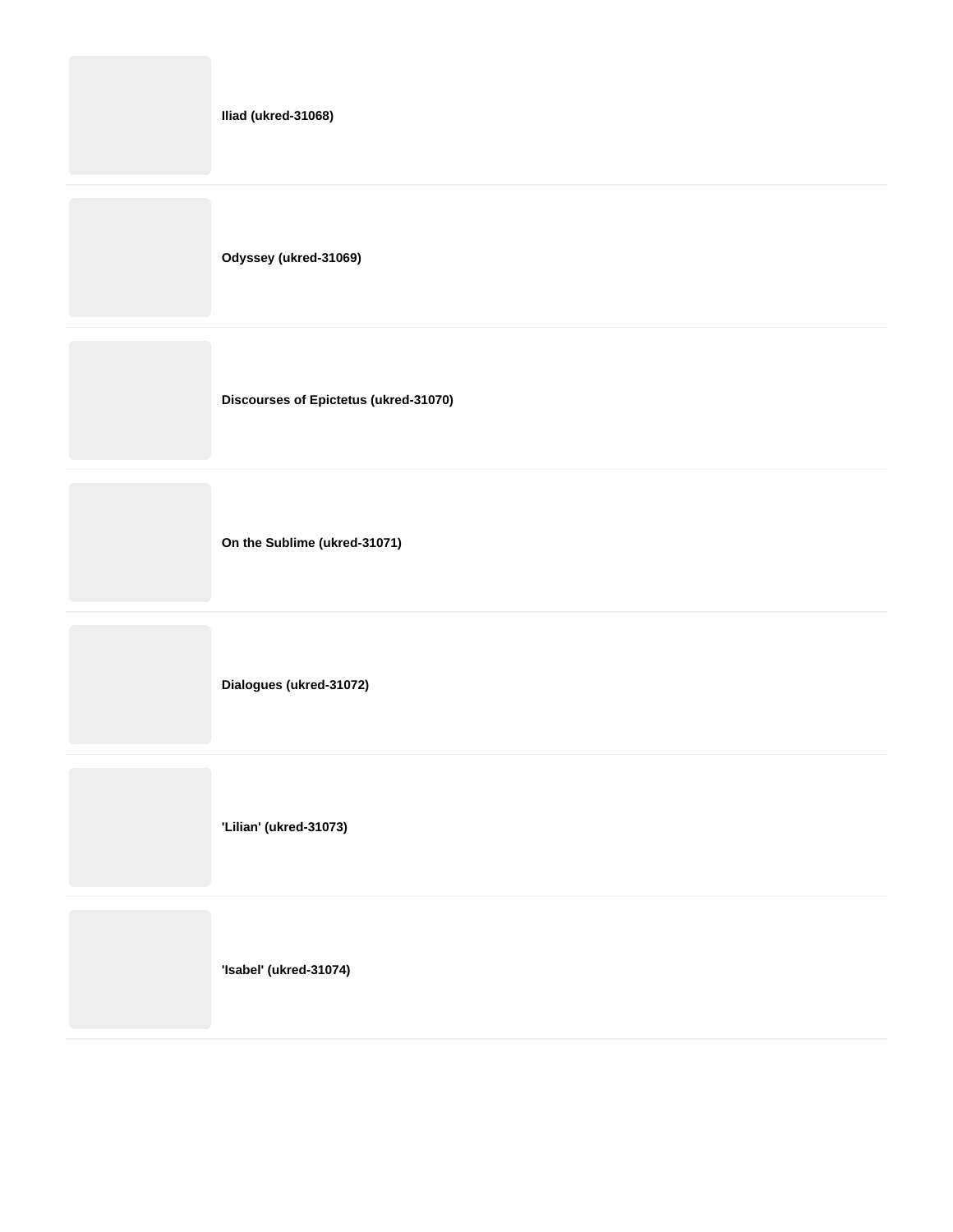|  | Iliad (ukred-31068) |
|--|---------------------|
|--|---------------------|

**Odyssey (ukred-31069)**

**Discourses of Epictetus (ukred-31070)**

**On the Sublime (ukred-31071)**

**Dialogues (ukred-31072)**

**'Lilian' (ukred-31073)**

**'Isabel' (ukred-31074)**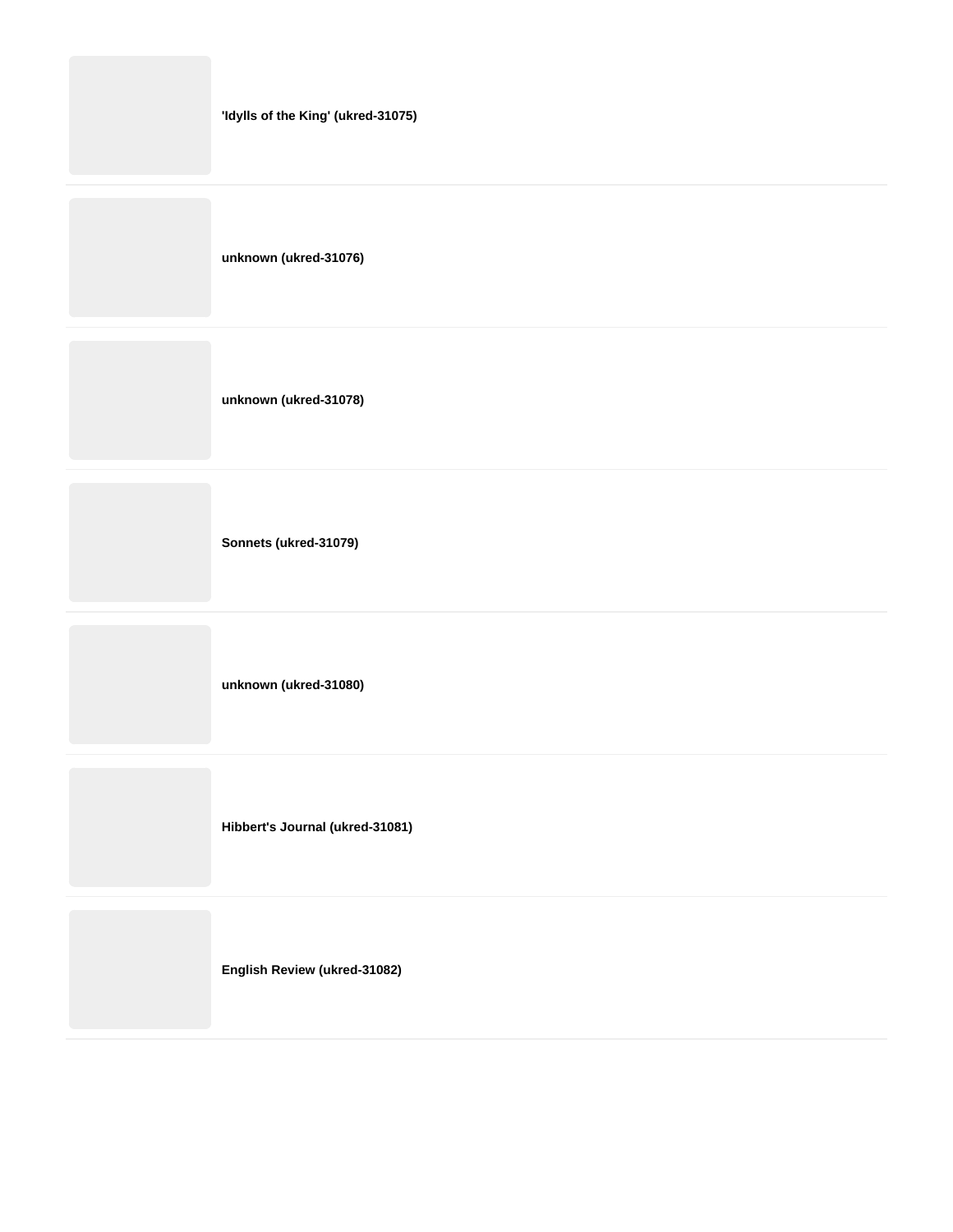| 'Idylls of the King' (ukred-31075) |
|------------------------------------|
| unknown (ukred-31076)              |
| unknown (ukred-31078)              |
|                                    |

**Sonnets (ukred-31079)**

**unknown (ukred-31080)**

**Hibbert's Journal (ukred-31081)**

**English Review (ukred-31082)**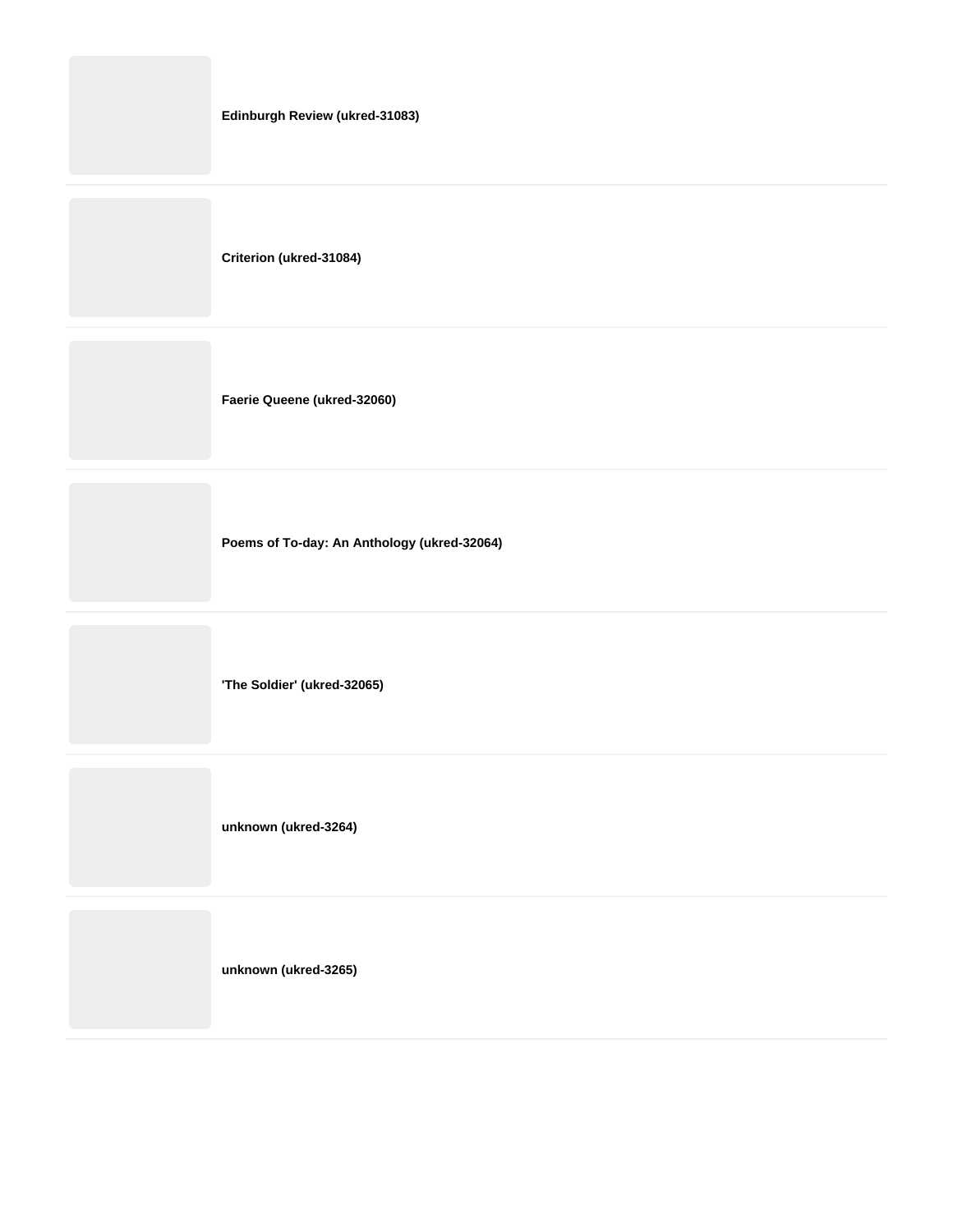| Edinburgh Review (ukred-31083) |
|--------------------------------|
| Criterion (ukred-31084)        |
| Faerie Queene (ukred-32060)    |

**Poems of To-day: An Anthology (ukred-32064)**

**'The Soldier' (ukred-32065)**

**unknown (ukred-3264)**

**unknown (ukred-3265)**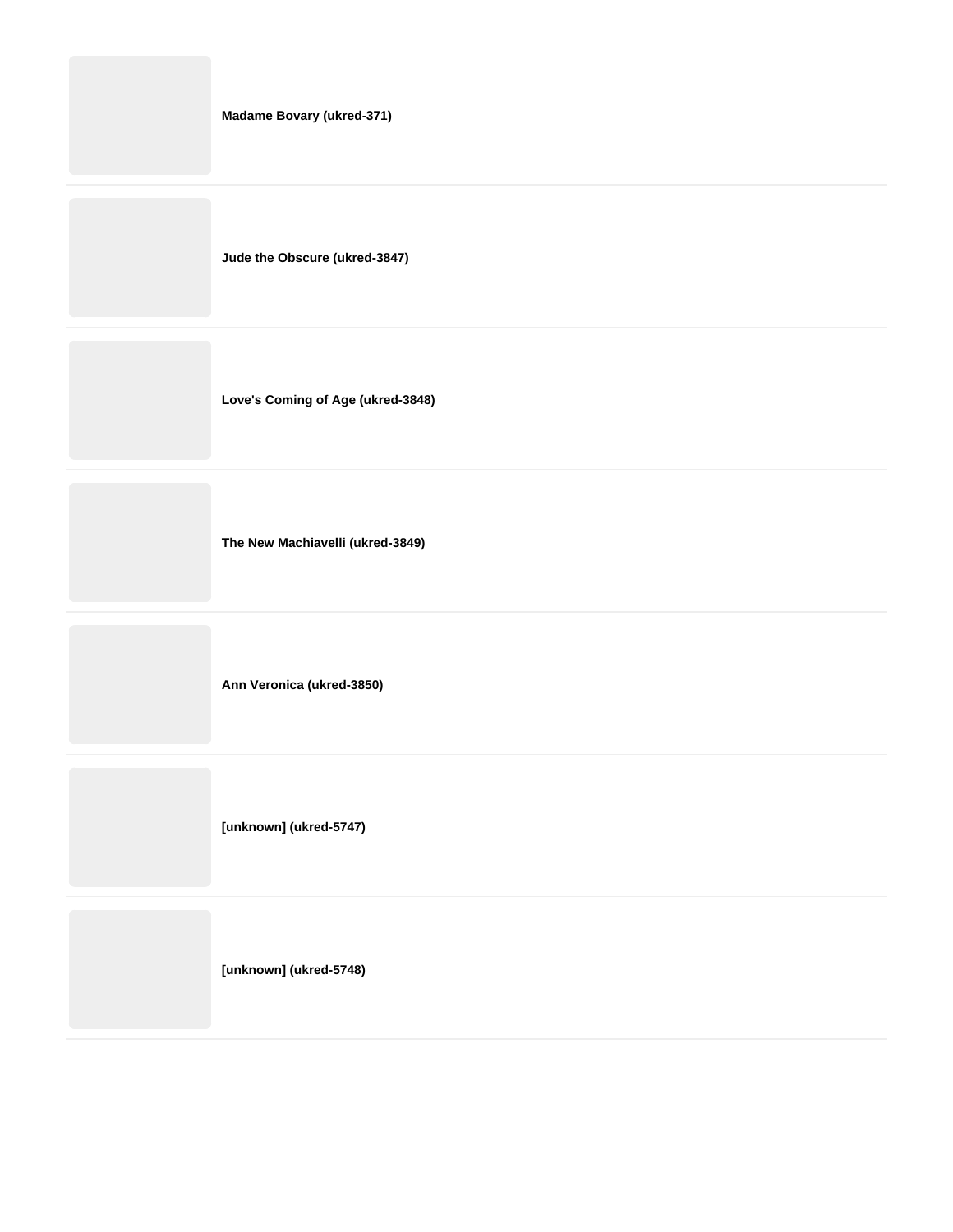| Madame Bovary (ukred-371)         |
|-----------------------------------|
| Jude the Obscure (ukred-3847)     |
| Love's Coming of Age (ukred-3848) |
| The New Machiavelli (ukred-3849)  |

**Ann Veronica (ukred-3850)**

**[unknown] (ukred-5747)**

**[unknown] (ukred-5748)**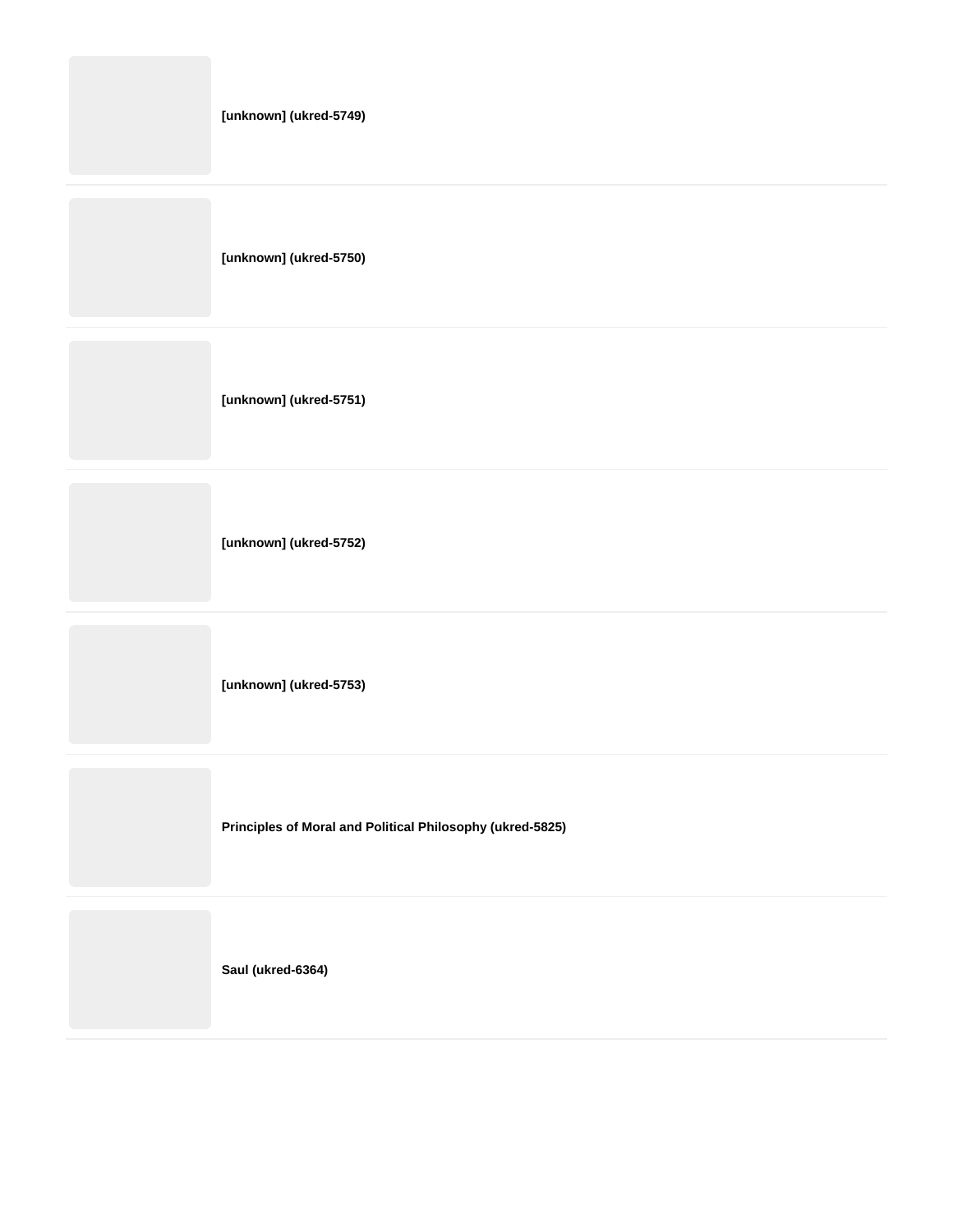**[unknown] (ukred-5749)**

**[unknown] (ukred-5750)**

**[unknown] (ukred-5751)**

**[unknown] (ukred-5752)**

**[unknown] (ukred-5753)**

**Principles of Moral and Political Philosophy (ukred-5825)**

**Saul (ukred-6364)**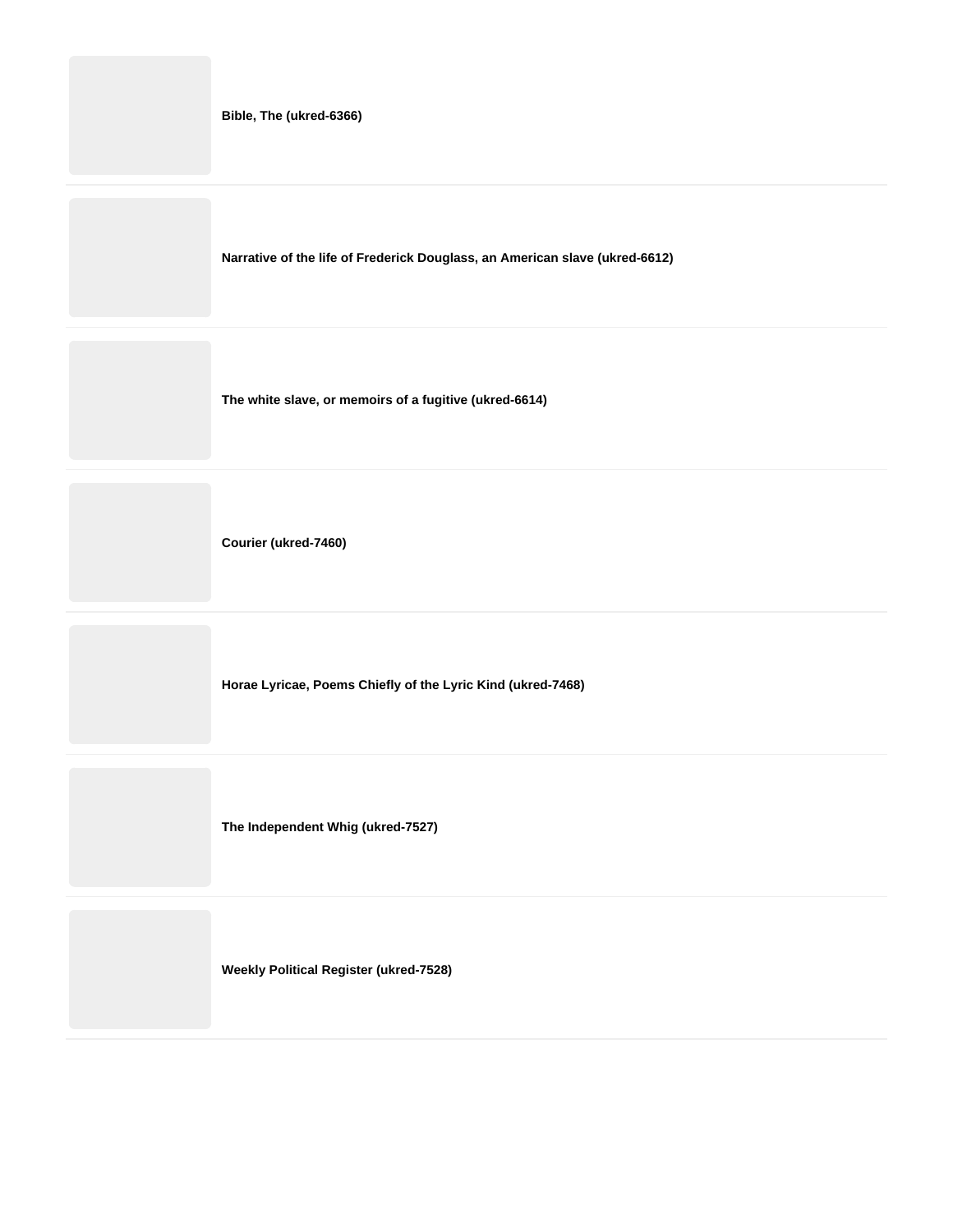|  |  | Bible, The (ukred-6366) |
|--|--|-------------------------|
|--|--|-------------------------|

**Narrative of the life of Frederick Douglass, an American slave (ukred-6612)**

**The white slave, or memoirs of a fugitive (ukred-6614)**

**Courier (ukred-7460)**

**Horae Lyricae, Poems Chiefly of the Lyric Kind (ukred-7468)**

**The Independent Whig (ukred-7527)**

**Weekly Political Register (ukred-7528)**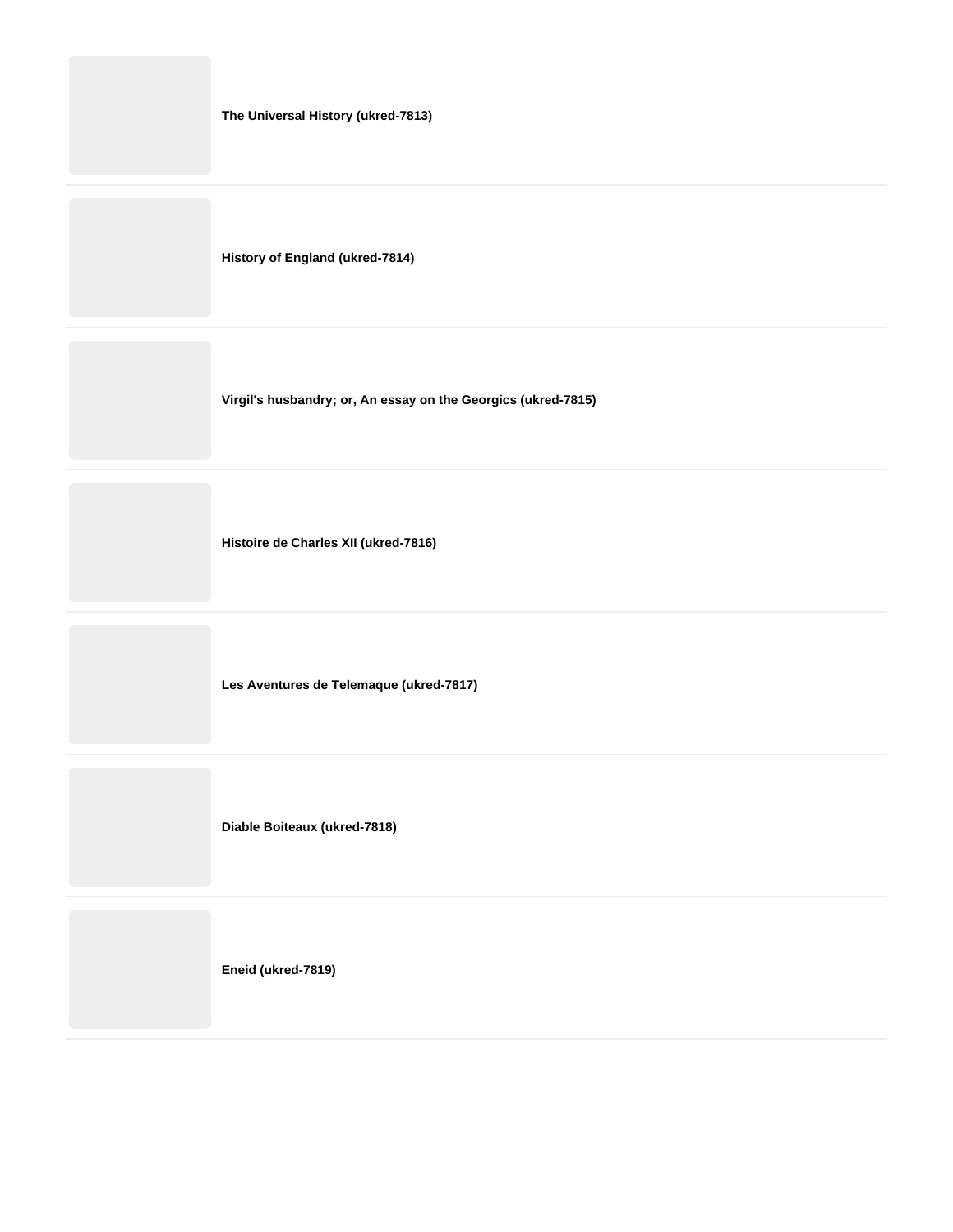| The Universal History (ukred-7813) |  |
|------------------------------------|--|
|------------------------------------|--|

**History of England (ukred-7814)**

**Virgil's husbandry; or, An essay on the Georgics (ukred-7815)**

**Histoire de Charles XII (ukred-7816)**

**Les Aventures de Telemaque (ukred-7817)**

**Diable Boiteaux (ukred-7818)**

**Eneid (ukred-7819)**